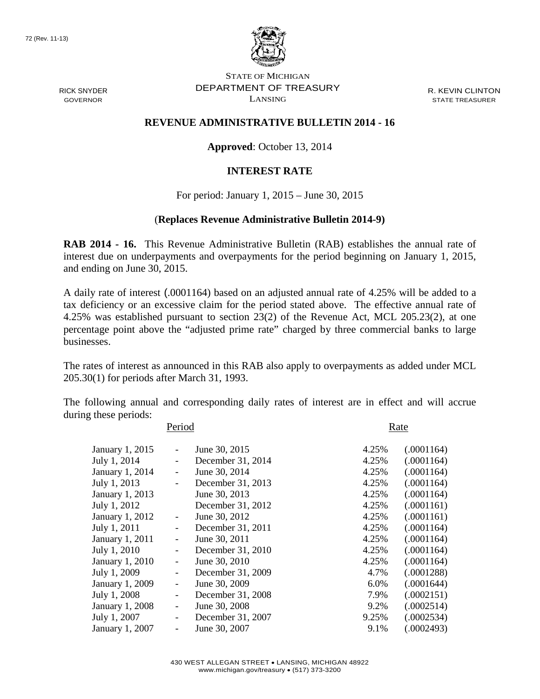

RICK SNYDER GOVERNOR

STATE OF MICHIGAN DEPARTMENT OF TREASURY LANSING

R. KEVIN CLINTON STATE TREASURER

## **REVENUE ADMINISTRATIVE BULLETIN 2014 - 16**

**Approved**: October 13, 2014

## **INTEREST RATE**

For period: January 1, 2015 – June 30, 2015

## (**Replaces Revenue Administrative Bulletin 2014-9)**

**RAB 2014 - 16.** This Revenue Administrative Bulletin (RAB) establishes the annual rate of interest due on underpayments and overpayments for the period beginning on January 1, 2015, and ending on June 30, 2015.

A daily rate of interest (.0001164) based on an adjusted annual rate of 4.25% will be added to a tax deficiency or an excessive claim for the period stated above. The effective annual rate of 4.25% was established pursuant to section 23(2) of the Revenue Act, MCL 205.23(2), at one percentage point above the "adjusted prime rate" charged by three commercial banks to large businesses.

The rates of interest as announced in this RAB also apply to overpayments as added under MCL 205.30(1) for periods after March 31, 1993.

The following annual and corresponding daily rates of interest are in effect and will accrue during these periods:

| Period          |                          |                   | Rate  |            |  |  |
|-----------------|--------------------------|-------------------|-------|------------|--|--|
| January 1, 2015 |                          | June 30, 2015     | 4.25% | (.0001164) |  |  |
| July 1, 2014    |                          | December 31, 2014 | 4.25% | (.0001164) |  |  |
| January 1, 2014 |                          | June 30, 2014     | 4.25% | (.0001164) |  |  |
| July 1, 2013    | $\overline{\phantom{0}}$ | December 31, 2013 | 4.25% | (.0001164) |  |  |
| January 1, 2013 |                          | June 30, 2013     | 4.25% | (.0001164) |  |  |
| July 1, 2012    |                          | December 31, 2012 | 4.25% | (.0001161) |  |  |
| January 1, 2012 |                          | June 30, 2012     | 4.25% | (.0001161) |  |  |
| July 1, 2011    |                          | December 31, 2011 | 4.25% | (.0001164) |  |  |
| January 1, 2011 | $\overline{\phantom{0}}$ | June 30, 2011     | 4.25% | (.0001164) |  |  |
| July 1, 2010    | -                        | December 31, 2010 | 4.25% | (.0001164) |  |  |
| January 1, 2010 | $\overline{\phantom{0}}$ | June 30, 2010     | 4.25% | (.0001164) |  |  |
| July 1, 2009    | -                        | December 31, 2009 | 4.7%  | (.0001288) |  |  |
| January 1, 2009 | $\overline{\phantom{0}}$ | June 30, 2009     | 6.0%  | (.0001644) |  |  |
| July 1, 2008    | -                        | December 31, 2008 | 7.9%  | (.0002151) |  |  |
| January 1, 2008 | $\overline{\phantom{0}}$ | June 30, 2008     | 9.2%  | (.0002514) |  |  |
| July 1, 2007    |                          | December 31, 2007 | 9.25% | (.0002534) |  |  |
| January 1, 2007 |                          | June 30, 2007     | 9.1%  | (.0002493) |  |  |